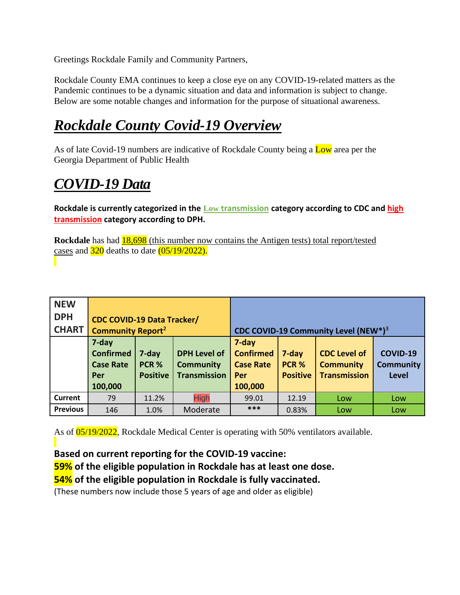Greetings Rockdale Family and Community Partners,

Rockdale County EMA continues to keep a close eye on any COVID-19-related matters as the Pandemic continues to be a dynamic situation and data and information is subject to change. Below are some notable changes and information for the purpose of situational awareness.

# *Rockdale County Covid-19 Overview*

As of late Covid-19 numbers are indicative of Rockdale County being a Low area per the Georgia Department of Public Health

# *COVID-19 Data*

**Rockdale is currently categorized in the Low transmission category according to CDC and high transmission category according to DPH.** 

**Rockdale** has had **18,698** (this number now contains the Antigen tests) total report/tested cases and  $320$  deaths to date  $(05/19/2022)$ .

| <b>NEW</b>      |                                     |                 |                     |                                                  |                 |                     |                  |
|-----------------|-------------------------------------|-----------------|---------------------|--------------------------------------------------|-----------------|---------------------|------------------|
| <b>DPH</b>      | <b>CDC COVID-19 Data Tracker/</b>   |                 |                     |                                                  |                 |                     |                  |
| <b>CHART</b>    | <b>Community Report<sup>2</sup></b> |                 |                     | CDC COVID-19 Community Level (NEW*) <sup>3</sup> |                 |                     |                  |
|                 | 7-day                               |                 |                     | 7-day                                            |                 |                     |                  |
|                 | <b>Confirmed</b>                    | 7-day           | <b>DPH Level of</b> | <b>Confirmed</b>                                 | 7-day           | <b>CDC Level of</b> | <b>COVID-19</b>  |
|                 | <b>Case Rate</b>                    | PCR %           | <b>Community</b>    | <b>Case Rate</b>                                 | PCR %           | <b>Community</b>    | <b>Community</b> |
|                 | Per                                 | <b>Positive</b> | <b>Transmission</b> | Per                                              | <b>Positive</b> | <b>Transmission</b> | <b>Level</b>     |
|                 | 100,000                             |                 |                     | 100,000                                          |                 |                     |                  |
| <b>Current</b>  | 79                                  | 11.2%           | <b>High</b>         | 99.01                                            | 12.19           | Low                 | Low              |
| <b>Previous</b> | 146                                 | 1.0%            | Moderate            | ***                                              | 0.83%           | Low                 | Low              |

As of 05/19/2022, Rockdale Medical Center is operating with 50% ventilators available.

#### **Based on current reporting for the COVID-19 vaccine:**

**59% of the eligible population in Rockdale has at least one dose.** 

#### **54% of the eligible population in Rockdale is fully vaccinated.**

(These numbers now include those 5 years of age and older as eligible)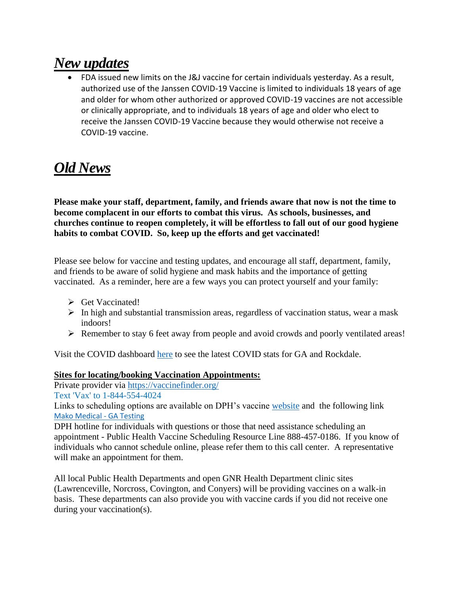## *New updates*

• FDA issued new limits on the J&J vaccine for certain individuals yesterday. As a result, authorized use of the Janssen COVID-19 Vaccine is limited to individuals 18 years of age and older for whom other authorized or approved COVID-19 vaccines are not accessible or clinically appropriate, and to individuals 18 years of age and older who elect to receive the Janssen COVID-19 Vaccine because they would otherwise not receive a COVID-19 vaccine.

## *Old News*

**Please make your staff, department, family, and friends aware that now is not the time to become complacent in our efforts to combat this virus. As schools, businesses, and churches continue to reopen completely, it will be effortless to fall out of our good hygiene habits to combat COVID. So, keep up the efforts and get vaccinated!**

Please see below for vaccine and testing updates, and encourage all staff, department, family, and friends to be aware of solid hygiene and mask habits and the importance of getting vaccinated. As a reminder, here are a few ways you can protect yourself and your family:

- ➢ Get Vaccinated!
- ➢ In high and substantial transmission areas, regardless of vaccination status, wear a mask indoors!
- ➢ Remember to stay 6 feet away from people and avoid crowds and poorly ventilated areas!

Visit the COVID dashboard [here](https://urldefense.com/v3/__https:/nam04.safelinks.protection.outlook.com/?url=https*3A*2F*2Fdph.georgia.gov*2Fcovid-19-daily-status-report&data=04*7C01*7CTOatts*40Rockdale.k12.ga.us*7Cbb28fd8a2a194f0f9fd508d9bc112a4d*7Cbfd25eb83dfc4e5cadabad073f23ac72*7C1*7C0*7C637747604626669601*7CUnknown*7CTWFpbGZsb3d8eyJWIjoiMC4wLjAwMDAiLCJQIjoiV2luMzIiLCJBTiI6Ik1haWwiLCJXVCI6Mn0*3D*7C3000&sdata=0l83fZuALwmItJsfJgDCeDJrIAUOnrzKC7EJZmLjaR8*3D&reserved=0__;JSUlJSUlJSUlJSUlJSUlJSU!!HxK7s4GrzN6EjdqyTA!_16wqmuk8gNE0K340RbNPXkZBF54CltRLTnE07iFMo3V-ZdE3ebn8clR_JA_lXS_OVtP1rcukphaF_8$) to see the latest COVID stats for GA and Rockdale.

#### **Sites for locating/booking Vaccination Appointments:**

Private provider via [https://vaccinefinder.org/](https://urldefense.com/v3/__https:/nam04.safelinks.protection.outlook.com/?url=https*3A*2F*2Fvaccinefinder.org*2F&data=04*7C01*7CTOatts*40Rockdale.k12.ga.us*7Cbb28fd8a2a194f0f9fd508d9bc112a4d*7Cbfd25eb83dfc4e5cadabad073f23ac72*7C1*7C0*7C637747604626674592*7CUnknown*7CTWFpbGZsb3d8eyJWIjoiMC4wLjAwMDAiLCJQIjoiV2luMzIiLCJBTiI6Ik1haWwiLCJXVCI6Mn0*3D*7C3000&sdata=hfnvTKvq16FId0ueSx6abAoAMRsu00REXDQIzM4fe5Y*3D&reserved=0__;JSUlJSUlJSUlJSUlJSUlJSU!!HxK7s4GrzN6EjdqyTA!_16wqmuk8gNE0K340RbNPXkZBF54CltRLTnE07iFMo3V-ZdE3ebn8clR_JA_lXS_OVtP1rcufBZli80$)

Text 'Vax' to 1-844-554-4024

Links to scheduling options are available on DPH's vaccine [website](https://urldefense.com/v3/__https:/nam04.safelinks.protection.outlook.com/?url=https*3A*2F*2Furldefense.com*2Fv3*2F__https*3A*2Fdph.georgia.gov*2Fcovid-vaccine__*3B!!HxK7s4GrzN6EjdqyTA!7qVt7I4h697mlZisapqWOe0vWP3orI4-v_qcxiEjQVYokWAKG1wciyuZcIW7ZNeiz_9h8bMPAK0*24&data=04*7C01*7CTOatts*40Rockdale.k12.ga.us*7Cbb28fd8a2a194f0f9fd508d9bc112a4d*7Cbfd25eb83dfc4e5cadabad073f23ac72*7C1*7C0*7C637747604626679585*7CUnknown*7CTWFpbGZsb3d8eyJWIjoiMC4wLjAwMDAiLCJQIjoiV2luMzIiLCJBTiI6Ik1haWwiLCJXVCI6Mn0*3D*7C3000&sdata=1x*2BCpbTYW*2Fa9*2F2bKFMSFtO7gkSQiBI0ksLqFAGnzwjw*3D&reserved=0__;JSUlJSUlJSUlJSUlJSUlJSUlJSUlJSUlJSU!!HxK7s4GrzN6EjdqyTA!_16wqmuk8gNE0K340RbNPXkZBF54CltRLTnE07iFMo3V-ZdE3ebn8clR_JA_lXS_OVtP1rcuqMYt7Fk$) and the following link [Mako Medical -](https://mako.exchange/splash/GAmakotesting/) GA Testing

DPH hotline for individuals with questions or those that need assistance scheduling an appointment - Public Health Vaccine Scheduling Resource Line 888-457-0186. If you know of individuals who cannot schedule online, please refer them to this call center. A representative will make an appointment for them.

All local Public Health Departments and open GNR Health Department clinic sites (Lawrenceville, Norcross, Covington, and Conyers) will be providing vaccines on a walk-in basis. These departments can also provide you with vaccine cards if you did not receive one during your vaccination(s).